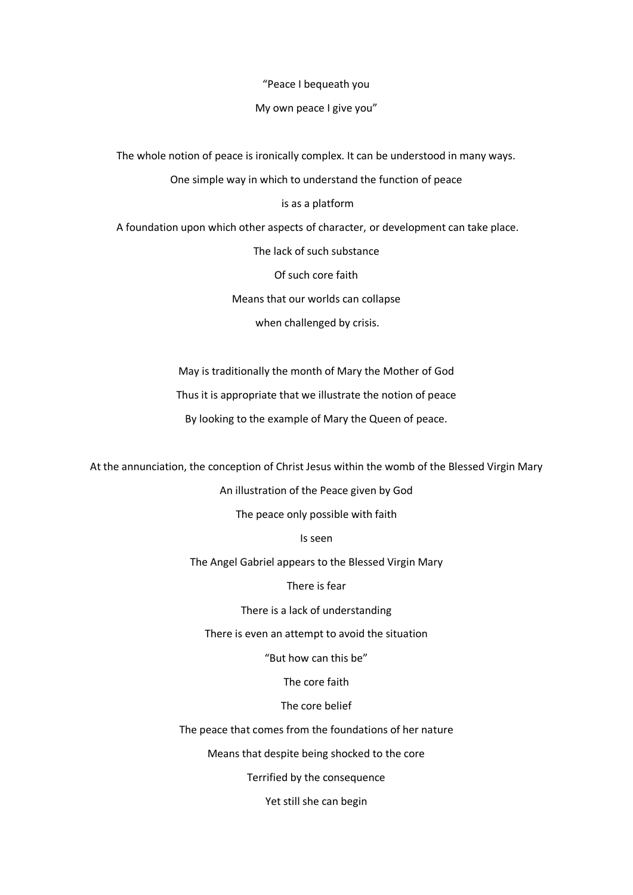"Peace I bequeath you

My own peace I give you"

The whole notion of peace is ironically complex. It can be understood in many ways.

One simple way in which to understand the function of peace

is as a platform

A foundation upon which other aspects of character, or development can take place.

The lack of such substance

Of such core faith

Means that our worlds can collapse

when challenged by crisis.

May is traditionally the month of Mary the Mother of God

Thus it is appropriate that we illustrate the notion of peace

By looking to the example of Mary the Queen of peace.

At the annunciation, the conception of Christ Jesus within the womb of the Blessed Virgin Mary

An illustration of the Peace given by God

The peace only possible with faith

Is seen

The Angel Gabriel appears to the Blessed Virgin Mary

There is fear

There is a lack of understanding

There is even an attempt to avoid the situation

"But how can this be"

The core faith

The core belief

The peace that comes from the foundations of her nature

Means that despite being shocked to the core

Terrified by the consequence

Yet still she can begin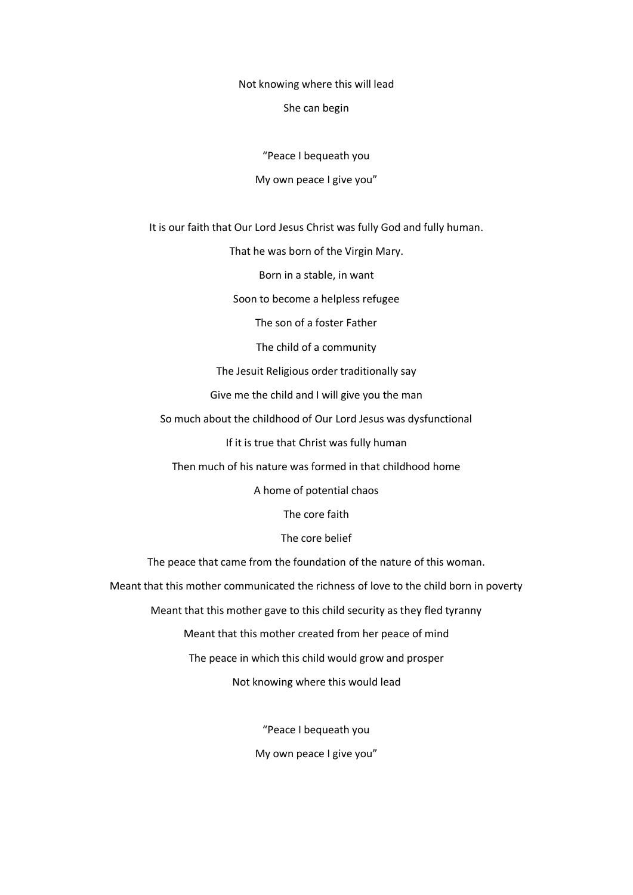Not knowing where this will lead

She can begin

"Peace I bequeath you

## My own peace I give you"

It is our faith that Our Lord Jesus Christ was fully God and fully human.

That he was born of the Virgin Mary.

Born in a stable, in want

Soon to become a helpless refugee

The son of a foster Father

The child of a community

The Jesuit Religious order traditionally say

Give me the child and I will give you the man

So much about the childhood of Our Lord Jesus was dysfunctional

If it is true that Christ was fully human

Then much of his nature was formed in that childhood home

A home of potential chaos

The core faith

The core belief

The peace that came from the foundation of the nature of this woman.

Meant that this mother communicated the richness of love to the child born in poverty

Meant that this mother gave to this child security as they fled tyranny

Meant that this mother created from her peace of mind

The peace in which this child would grow and prosper

Not knowing where this would lead

"Peace I bequeath you

My own peace I give you"